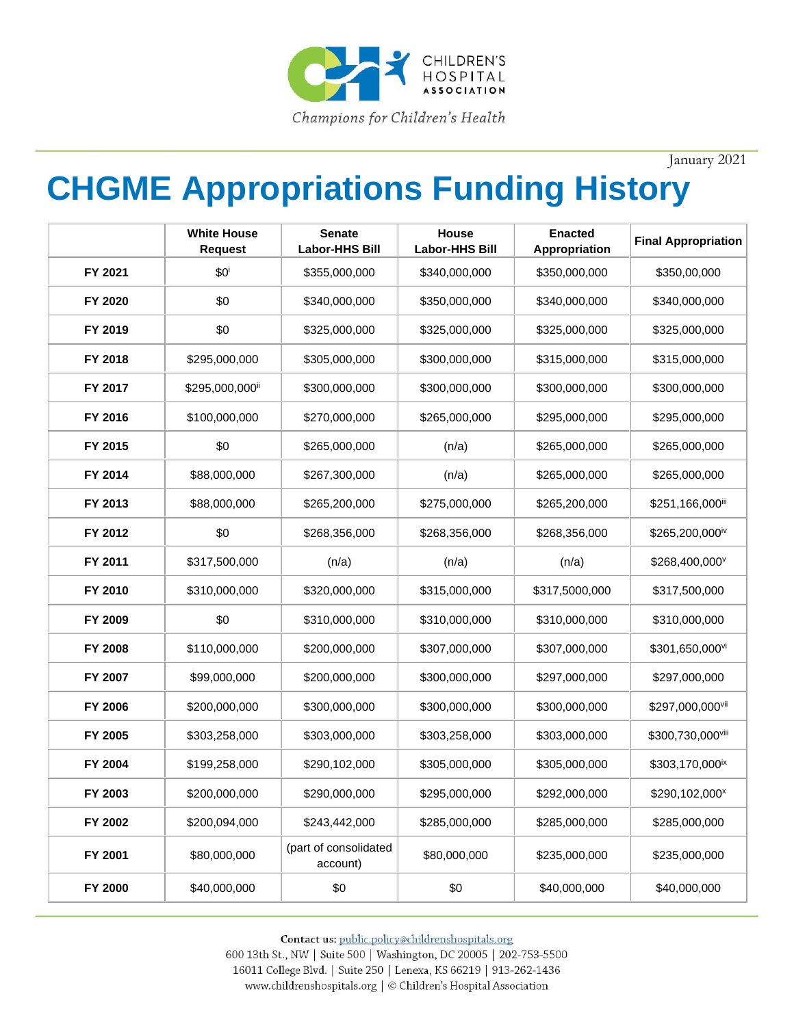

January 2021

## **CHGME Appropriations Funding History**

|         | <b>White House</b><br><b>Request</b> | <b>Senate</b><br><b>Labor-HHS Bill</b> | House<br><b>Labor-HHS Bill</b> | <b>Enacted</b><br>Appropriation | <b>Final Appropriation</b>  |
|---------|--------------------------------------|----------------------------------------|--------------------------------|---------------------------------|-----------------------------|
| FY 2021 | \$0 <sup>i</sup>                     | \$355,000,000                          | \$340,000,000                  | \$350,000,000                   | \$350,00,000                |
| FY 2020 | \$0                                  | \$340,000,000                          | \$350,000,000                  | \$340,000,000                   | \$340,000,000               |
| FY 2019 | \$0                                  | \$325,000,000                          | \$325,000,000                  | \$325,000,000                   | \$325,000,000               |
| FY 2018 | \$295,000,000                        | \$305,000,000                          | \$300,000,000                  | \$315,000,000                   | \$315,000,000               |
| FY 2017 | \$295,000,000ii                      | \$300,000,000                          | \$300,000,000                  | \$300,000,000                   | \$300,000,000               |
| FY 2016 | \$100,000,000                        | \$270,000,000                          | \$265,000,000                  | \$295,000,000                   | \$295,000,000               |
| FY 2015 | \$0                                  | \$265,000,000                          | (n/a)                          | \$265,000,000                   | \$265,000,000               |
| FY 2014 | \$88,000,000                         | \$267,300,000                          | (n/a)                          | \$265,000,000                   | \$265,000,000               |
| FY 2013 | \$88,000,000                         | \$265,200,000                          | \$275,000,000                  | \$265,200,000                   | \$251,166,000iii            |
| FY 2012 | \$0                                  | \$268,356,000                          | \$268,356,000                  | \$268,356,000                   | \$265,200,000iv             |
| FY 2011 | \$317,500,000                        | (n/a)                                  | (n/a)                          | (n/a)                           | \$268,400,000°              |
| FY 2010 | \$310,000,000                        | \$320,000,000                          | \$315,000,000                  | \$317,5000,000                  | \$317,500,000               |
| FY 2009 | \$0                                  | \$310,000,000                          | \$310,000,000                  | \$310,000,000                   | \$310,000,000               |
| FY 2008 | \$110,000,000                        | \$200,000,000                          | \$307,000,000                  | \$307,000,000                   | \$301,650,000vi             |
| FY 2007 | \$99,000,000                         | \$200,000,000                          | \$300,000,000                  | \$297,000,000                   | \$297,000,000               |
| FY 2006 | \$200,000,000                        | \$300,000,000                          | \$300,000,000                  | \$300,000,000                   | \$297,000,000vii            |
| FY 2005 | \$303,258,000                        | \$303,000,000                          | \$303,258,000                  | \$303,000,000                   | \$300,730,000viii           |
| FY 2004 | \$199,258,000                        | \$290,102,000                          | \$305,000,000                  | \$305,000,000                   | \$303,170,000 <sup>ix</sup> |
| FY 2003 | \$200,000,000                        | \$290,000,000                          | \$295,000,000                  | \$292,000,000                   | \$290,102,000 <sup>x</sup>  |
| FY 2002 | \$200,094,000                        | \$243,442,000                          | \$285,000,000                  | \$285,000,000                   | \$285,000,000               |
| FY 2001 | \$80,000,000                         | (part of consolidated<br>account)      | \$80,000,000                   | \$235,000,000                   | \$235,000,000               |
| FY 2000 | \$40,000,000                         | \$0                                    | \$0                            | \$40,000,000                    | \$40,000,000                |

Contact us: public.policy@childrenshospitals.org 600 13th St., NW | Suite 500 | Washington, DC 20005 | 202-753-5500

16011 College Blvd. | Suite 250 | Lenexa, KS 66219 | 913-262-1436 www.childrenshospitals.org | © Children's Hospital Association